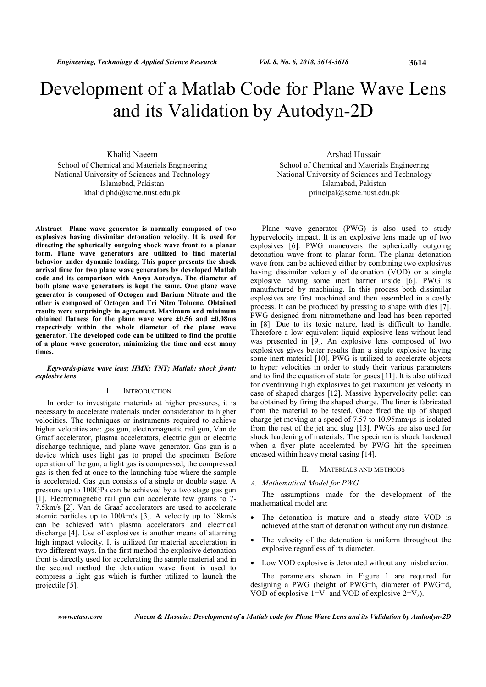# Development of a Matlab Code for Plane Wave Lens and its Validation by Autodyn-2D

Khalid Naeem School of Chemical and Materials Engineering National University of Sciences and Technology Islamabad, Pakistan khalid.phd@scme.nust.edu.pk

Abstract—Plane wave generator is normally composed of two explosives having dissimilar detonation velocity. It is used for directing the spherically outgoing shock wave front to a planar form. Plane wave generators are utilized to find material behavior under dynamic loading. This paper presents the shock arrival time for two plane wave generators by developed Matlab code and its comparison with Ansys Autodyn. The diameter of both plane wave generators is kept the same. One plane wave generator is composed of Octogen and Barium Nitrate and the other is composed of Octogen and Tri Nitro Toluene. Obtained results were surprisingly in agreement. Maximum and minimum obtained flatness for the plane wave were  $\pm 0.56$  and  $\pm 0.08$ ms respectively within the whole diameter of the plane wave generator. The developed code can be utilized to find the profile of a plane wave generator, minimizing the time and cost many times.

## Keywords-plane wave lens; HMX; TNT; Matlab; shock front; explosive lens

# I. INTRODUCTION

In order to investigate materials at higher pressures, it is necessary to accelerate materials under consideration to higher velocities. The techniques or instruments required to achieve higher velocities are: gas gun, electromagnetic rail gun, Van de Graaf accelerator, plasma accelerators, electric gun or electric discharge technique, and plane wave generator. Gas gun is a device which uses light gas to propel the specimen. Before operation of the gun, a light gas is compressed, the compressed gas is then fed at once to the launching tube where the sample is accelerated. Gas gun consists of a single or double stage. A pressure up to 100GPa can be achieved by a two stage gas gun [1]. Electromagnetic rail gun can accelerate few grams to 7- 7.5km/s [2]. Van de Graaf accelerators are used to accelerate atomic particles up to 100km/s [3]. A velocity up to 18km/s can be achieved with plasma accelerators and electrical discharge [4]. Use of explosives is another means of attaining high impact velocity. It is utilized for material acceleration in two different ways. In the first method the explosive detonation front is directly used for accelerating the sample material and in the second method the detonation wave front is used to compress a light gas which is further utilized to launch the projectile [5].

Arshad Hussain School of Chemical and Materials Engineering National University of Sciences and Technology Islamabad, Pakistan principal@scme.nust.edu.pk

Plane wave generator (PWG) is also used to study hypervelocity impact. It is an explosive lens made up of two explosives [6]. PWG maneuvers the spherically outgoing detonation wave front to planar form. The planar detonation wave front can be achieved either by combining two explosives having dissimilar velocity of detonation (VOD) or a single explosive having some inert barrier inside [6]. PWG is manufactured by machining. In this process both dissimilar explosives are first machined and then assembled in a costly process. It can be produced by pressing to shape with dies [7]. PWG designed from nitromethane and lead has been reported in [8]. Due to its toxic nature, lead is difficult to handle. Therefore a low equivalent liquid explosive lens without lead was presented in [9]. An explosive lens composed of two explosives gives better results than a single explosive having some inert material [10]. PWG is utilized to accelerate objects to hyper velocities in order to study their various parameters and to find the equation of state for gases [11]. It is also utilized for overdriving high explosives to get maximum jet velocity in case of shaped charges [12]. Massive hypervelocity pellet can be obtained by firing the shaped charge. The liner is fabricated from the material to be tested. Once fired the tip of shaped charge jet moving at a speed of  $7.57$  to  $10.95$ mm/ $\mu$ s is isolated from the rest of the jet and slug [13]. PWGs are also used for shock hardening of materials. The specimen is shock hardened when a flyer plate accelerated by PWG hit the specimen encased within heavy metal casing [14].

# II. MATERIALS AND METHODS

## A. Mathematical Model for PWG

The assumptions made for the development of the mathematical model are:

- The detonation is mature and a steady state VOD is achieved at the start of detonation without any run distance.
- The velocity of the detonation is uniform throughout the explosive regardless of its diameter.
- Low VOD explosive is detonated without any misbehavior.

The parameters shown in Figure 1 are required for designing a PWG (height of PWG=h, diameter of PWG=d, VOD of explosive-1= $V_1$  and VOD of explosive-2= $V_2$ ).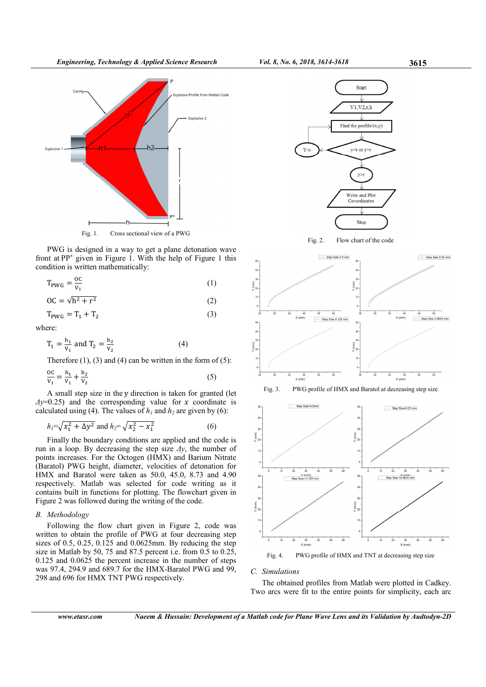

PWG is designed in a way to get a plane detonation wave front at PP<sup>∗</sup> given in Figure 1. With the help of Figure 1 this condition is written mathematically:

$$
T_{\text{PWG}} = \frac{OC}{V_1} \tag{1}
$$

$$
OC = \sqrt{h^2 + r^2}
$$
 (2)

$$
T_{\text{PWG}} = T_1 + T_2 \tag{3}
$$

where:

$$
T_1 = \frac{h_1}{v_1} \text{ and } T_2 = \frac{h_2}{v_2} \tag{4}
$$

Therefore  $(1)$ ,  $(3)$  and  $(4)$  can be written in the form of  $(5)$ :

$$
\frac{OC}{V_1} = \frac{h_1}{V_1} + \frac{h_2}{V_2}
$$
 (5)

A small step size in the y direction is taken for granted (let  $\Delta y=0.25$ ) and the corresponding value for x coordinate is calculated using (4). The values of  $h_1$  and  $h_2$  are given by (6):

$$
h_1 = \sqrt{x_1^2 + \Delta y^2}
$$
 and  $h_2 = \sqrt{x_2^2 - x_1^2}$  (6)

Finally the boundary conditions are applied and the code is run in a loop. By decreasing the step size  $\Delta y$ , the number of points increases. For the Octogen (HMX) and Barium Nitrate (Baratol) PWG height, diameter, velocities of detonation for HMX and Baratol were taken as 50.0, 45.0, 8.73 and 4.90 respectively. Matlab was selected for code writing as it contains built in functions for plotting. The flowchart given in Figure 2 was followed during the writing of the code.

# B. Methodology

Following the flow chart given in Figure 2, code was written to obtain the profile of PWG at four decreasing step sizes of  $0.5$ ,  $0.25$ ,  $0.125$  and  $0.0625$ mm. By reducing the step size in Matlab by 50, 75 and 87.5 percent i.e. from 0.5 to 0.25, 0.125 and 0.0625 the percent increase in the number of steps was 97.4, 294.9 and 689.7 for the HMX-Baratol PWG and 99, 298 and 696 for HMX TNT PWG respectively.



Fig. 4. PWG profile of HMX and TNT at decreasing step size

#### C. Simulations

The obtained profiles from Matlab were plotted in Cadkey. Two arcs were fit to the entire points for simplicity, each arc

www.etasr.com Naeem & Hussain: Development of a Matlab code for Plane Wave Lens and its Validation by Audtodyn-2D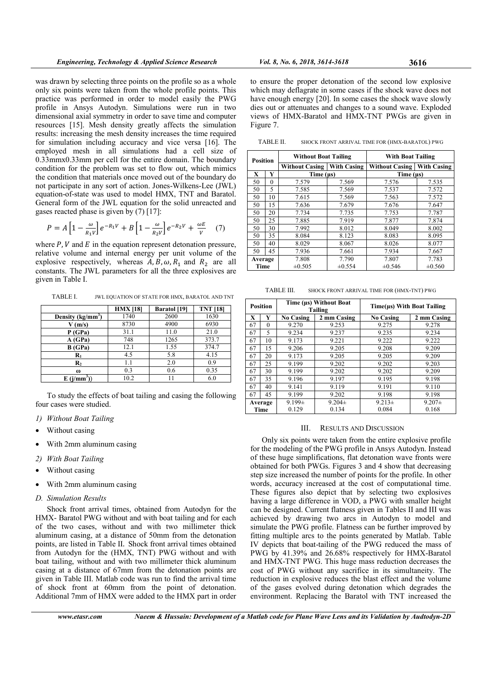was drawn by selecting three points on the profile so as a whole only six points were taken from the whole profile points. This practice was performed in order to model easily the PWG profile in Ansys Autodyn. Simulations were run in two dimensional axial symmetry in order to save time and computer resources [15]. Mesh density greatly affects the simulation results: increasing the mesh density increases the time required for simulation including accuracy and vice versa [16]. The employed mesh in all simulations had a cell size of 0.33mmx0.33mm per cell for the entire domain. The boundary condition for the problem was set to flow out, which mimics the condition that materials once moved out of the boundary do not participate in any sort of action. Jones-Wilkens-Lee (JWL) equation-of-state was used to model HMX, TNT and Baratol. General form of the JWL equation for the solid unreacted and gases reacted phase is given by (7) [17]:

$$
P = A \left[ 1 - \frac{\omega}{R_1 v} \right] e^{-R_1 V} + B \left[ 1 - \frac{\omega}{R_2 v} \right] e^{-R_2 V} + \frac{\omega E}{v} \quad (7)
$$

where  $P$ ,  $V$  and  $E$  in the equation represent detonation pressure, relative volume and internal energy per unit volume of the explosive respectively, whereas  $A, B, \omega, R_1$  and  $R_2$  are all constants. The JWL parameters for all the three explosives are given in Table I.

TABLE I. JWL EQUATION OF STATE FOR HMX, BARATOL AND TNT

|                     | <b>HMX</b> [18] | <b>Baratol</b> [19] | <b>TNT [18]</b> |
|---------------------|-----------------|---------------------|-----------------|
| Density $(kg/mm^3)$ | 1740            | 2600                | 1630            |
| V(m/s)              | 8730            | 4900                | 6930            |
| P (GPa)             | 31.1            | 11.0                | 21.0            |
| A(GPa)              | 748             | 1265                | 373.7           |
| <b>B</b> (GPa)      | 12.1            | 1.55                | 374.7           |
| $\mathbf{R}_1$      | 4.5             | 5.8                 | 4.15            |
| $\mathbf{R}_2$      | 1.1             | 2.0                 | 0.9             |
| $\omega$            | 0.3             | 0.6                 | 0.35            |
| $E(j/mm^3)$         | 10.2            | 11                  | 6.0             |

To study the effects of boat tailing and casing the following four cases were studied.

- 1) Without Boat Tailing
- Without casing
- With 2mm aluminum casing
- 2) With Boat Tailing
- Without casing
- With 2mm aluminum casing
- D. Simulation Results

Shock front arrival times, obtained from Autodyn for the HMX- Baratol PWG without and with boat tailing and for each of the two cases, without and with two millimeter thick aluminum casing, at a distance of 50mm from the detonation points, are listed in Table II. Shock front arrival times obtained from Autodyn for the (HMX, TNT) PWG without and with boat tailing, without and with two millimeter thick aluminum casing at a distance of 67mm from the detonation points are given in Table III. Matlab code was run to find the arrival time of shock front at 60mm from the point of detonation. Additional 7mm of HMX were added to the HMX part in order

Figure 7.

to ensure the proper detonation of the second low explosive which may deflagrate in some cases if the shock wave does not have enough energy [20]. In some cases the shock wave slowly dies out or attenuates and changes to a sound wave. Exploded views of HMX-Baratol and HMX-TNT PWGs are given in

TABLE II. SHOCK FRONT ARRIVAL TIME FOR (HMX-BARATOL) PWG

| <b>Position</b> |             | <b>Without Boat Tailing</b>                 |             | <b>With Boat Tailing</b> |                    |  |
|-----------------|-------------|---------------------------------------------|-------------|--------------------------|--------------------|--|
|                 |             | <b>With Casing</b><br><b>Without Casing</b> |             | <b>Without Casing</b>    | <b>With Casing</b> |  |
| X               | Y           | Time $(\mu s)$                              |             | Time $($ us $)$          |                    |  |
| 50              | $\theta$    | 7.579                                       | 7.569       | 7.576                    | 7.535              |  |
| 50              | 5           | 7.585                                       | 7.569       | 7.537                    | 7.572              |  |
| 50              | 10          | 7.615                                       | 7.569       | 7.563                    | 7.572              |  |
| 50              | 15          | 7.636                                       | 7.679       | 7.676                    | 7.647              |  |
| 50              | 20          | 7.734                                       | 7.735       | 7.753                    | 7.787              |  |
| 50              | 25<br>7.885 |                                             | 7.919       | 7.877                    | 7.874              |  |
| 50              | 30<br>7.992 |                                             | 8.012       | 8.049                    | 8.002              |  |
| 50              | 35          | 8.084                                       | 8.123       | 8.083                    | 8.095              |  |
| 50              | 40          | 8.029                                       | 8.067       | 8.026                    | 8.077              |  |
| 50              | 45          | 7.936                                       | 7.661       | 7.934                    | 7.667              |  |
| Average         |             | 7.808                                       | 7.790       | 7.807                    | 7.783              |  |
| Time            |             | $\pm 0.505$                                 | $\pm 0.554$ | $\pm 0.546$              | $\pm 0.560$        |  |

| TABLE III. | SHOCK FRONT ARRIVAL TIME FOR (HMX-TNT) PWG |  |  |
|------------|--------------------------------------------|--|--|
|            |                                            |  |  |

| <b>Position</b> |         | Time (us) Without Boat<br>Tailing |             | Time(µs) With Boat Tailing |             |  |
|-----------------|---------|-----------------------------------|-------------|----------------------------|-------------|--|
| X               | Y       | <b>No Casing</b>                  | 2 mm Casing | <b>No Casing</b>           | 2 mm Casing |  |
| 67              | 0       | 9.270                             | 9.253       | 9.275                      | 9.278       |  |
| 67              | 5       | 9.234                             | 9.237       | 9.235                      | 9.234       |  |
| 67              | 10      | 9.173                             | 9.221       | 9.222                      | 9.222       |  |
| 67              | 15      | 9.206                             | 9.205       | 9.208                      | 9.209       |  |
| 67              | 20      | 9.173                             | 9.205       | 9.205                      | 9.209       |  |
| 67              | 25      | 9.199                             | 9.202       | 9.202                      | 9.203       |  |
| 67              | 30      | 9.199                             | 9.202       | 9.202                      | 9.209       |  |
| 67              | 35      | 9.196                             | 9.197       | 9.195                      | 9.198       |  |
| 67              | 40      | 9.141                             | 9.119       | 9.191                      | 9.110       |  |
| 67              | 45      | 9.199                             | 9.202       | 9.198                      | 9.198       |  |
|                 | Average | $9.199\pm$                        | $9.204\pm$  | $9.213 \pm$                | $9.207\pm$  |  |
| Time            |         | 0.129                             | 0.134       | 0.084                      | 0.168       |  |

## III. RESULTS AND DISCUSSION

Only six points were taken from the entire explosive profile for the modeling of the PWG profile in Ansys Autodyn. Instead of these huge simplifications, flat detonation wave fronts were obtained for both PWGs. Figures 3 and 4 show that decreasing step size increased the number of points for the profile. In other words, accuracy increased at the cost of computational time. These figures also depict that by selecting two explosives having a large difference in VOD, a PWG with smaller height can be designed. Current flatness given in Tables II and III was achieved by drawing two arcs in Autodyn to model and simulate the PWG profile. Flatness can be further improved by fitting multiple arcs to the points generated by Matlab. Table IV depicts that boat-tailing of the PWG reduced the mass of PWG by 41.39% and 26.68% respectively for HMX-Baratol and HMX-TNT PWG. This huge mass reduction decreases the cost of PWG without any sacrifice in its simultaneity. The reduction in explosive reduces the blast effect and the volume of the gases evolved during detonation which degrades the environment. Replacing the Baratol with TNT increased the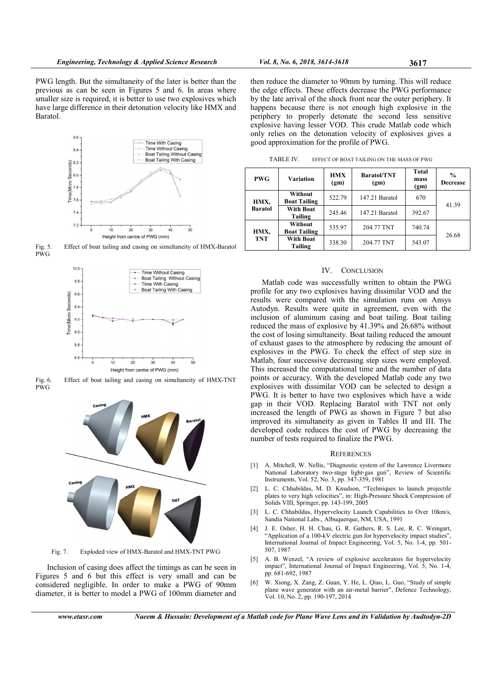PWG length. But the simultaneity of the later is better than the previous as can be seen in Figures 5 and 6. In areas where smaller size is required, it is better to use two explosives which have large difference in their detonation velocity like HMX and Baratol.



Fig. 5. Effect of boat tailing and casing on simultaneity of HMX-Baratol PWG



Fig. 6. Effect of boat tailing and casing on simultaneity of HMX-TNT PWG



Fig. 7. Exploded view of HMX-Baratol and HMX-TNT PWG

Inclusion of casing does affect the timings as can be seen in Figures 5 and 6 but this effect is very small and can be considered negligible. In order to make a PWG of 90mm diameter, it is better to model a PWG of 100mm diameter and

then reduce the diameter to 90mm by turning. This will reduce the edge effects. These effects decrease the PWG performance by the late arrival of the shock front near the outer periphery. It happens because there is not enough high explosive in the periphery to properly detonate the second less sensitive explosive having lesser VOD. This crude Matlab code which only relies on the detonation velocity of explosives gives a good approximation for the profile of PWG.

| <b>PWG</b>             | <b>Variation</b>                      | <b>HMX</b><br>(gm) | <b>Baratol/TNT</b><br>(gm) | Total<br>mass<br>(gm) | $\frac{0}{0}$<br><b>Decrease</b> |  |
|------------------------|---------------------------------------|--------------------|----------------------------|-----------------------|----------------------------------|--|
| HMX,<br><b>Baratol</b> | Without<br><b>Boat Tailing</b>        | 522.79             | 147.21 Baratol             | 670                   | 41.39                            |  |
|                        | <b>With Boat</b><br>Tailing           | 245.46             | 147.21 Baratol             | 392.67                |                                  |  |
| HMX,<br><b>TNT</b>     | <b>Without</b><br><b>Boat Tailing</b> | 535.97             | 204.77 TNT                 | 740.74                | 26.68                            |  |
|                        | <b>With Boat</b><br>Tailing           | 338.30             | 204.77 TNT                 | 543.07                |                                  |  |

TABLE IV. EFFECT OF BOAT TAILING ON THE MASS OF PWG

#### IV. CONCLUSION

Matlab code was successfully written to obtain the PWG profile for any two explosives having dissimilar VOD and the results were compared with the simulation runs on Ansys Autodyn. Results were quite in agreement, even with the inclusion of aluminum casing and boat tailing. Boat tailing reduced the mass of explosive by 41.39% and 26.68% without the cost of losing simultaneity. Boat tailing reduced the amount of exhaust gases to the atmosphere by reducing the amount of explosives in the PWG. To check the effect of step size in Matlab, four successive decreasing step sizes were employed. This increased the computational time and the number of data points or accuracy. With the developed Matlab code any two explosives with dissimilar VOD can be selected to design a PWG. It is better to have two explosives which have a wide gap in their VOD. Replacing Baratol with TNT not only increased the length of PWG as shown in Figure 7 but also improved its simultaneity as given in Tables II and III. The developed code reduces the cost of PWG by decreasing the number of tests required to finalize the PWG.

#### **REFERENCES**

- [1] A. Mitchell, W. Nellis, "Diagnostic system of the Lawrence Livermore National Laboratory two‐stage light‐gas gun", Review of Scientific Instruments, Vol. 52, No. 3, pp. 347-359, 1981
- [2] L. C. Chhabildas, M. D. Knudson, "Techniques to launch projectile plates to very high velocities", in: High-Pressure Shock Compression of Solids VIII, Springer, pp. 143-199, 2005
- [3] L. C. Chhabildas, Hypervelocity Launch Capabilities to Over 10km/s, Sandia National Labs., Albuquerque, NM, USA, 1991
- J. E. Osher, H. H. Chau, G. R. Gathers, R. S. Lee, R. C. Weingart, "Application of a 100-kV electric gun for hypervelocity impact studies", International Journal of Impact Engineering, Vol. 5, No. 1-4, pp. 501- 507, 1987
- [5] A. B. Wenzel, "A review of explosive accelerators for hypervelocity impact", International Journal of Impact Engineering, Vol. 5, No. 1-4, pp. 681-692, 1987
- [6] W. Xiong, X. Zang, Z. Guan, Y. He, L. Qiao, L. Guo, "Study of simple plane wave generator with an air-metal barrier", Defence Technology, Vol. 10, No. 2, pp. 190-197, 2014